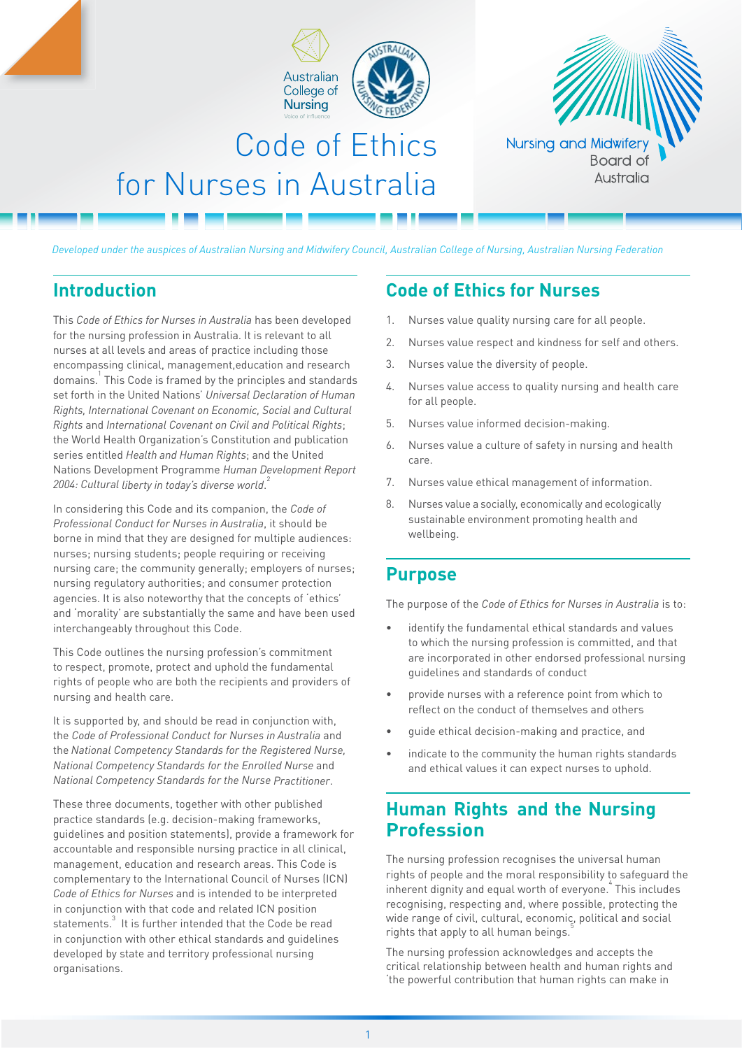



# Code of Ethics for Nurses in Australia

*Developed under the auspices of Australian Nursing and Midwifery Council, Australian College of Nursing, Australian Nursing Federation*

## **Introduction**

This *Code of Ethics for Nurses in Australia* has been developed for the nursing profession in Australia. It is relevant to all nurses at all levels and areas of practice including those encompassing clinical, management,education and research domains.1 This Code is framed by the principles and standards set forth in the United Nations' *Universal Declaration of Human Rights, International Covenant on Economic, Social and Cultural Rights* and *International Covenant on Civil and Political Rights*; the World Health Organization's Constitution and publication series entitled *Health and Human Rights*; and the United Nations Development Programme *Human Development Report 2004: Cultural liberty in today's diverse world*. 2

In considering this Code and its companion, the *Code of Professional Conduct for Nurses in Australia*, it should be borne in mind that they are designed for multiple audiences: nurses; nursing students; people requiring or receiving nursing care; the community generally; employers of nurses; nursing regulatory authorities; and consumer protection agencies. It is also noteworthy that the concepts of 'ethics' and 'morality' are substantially the same and have been used interchangeably throughout this Code.

This Code outlines the nursing profession's commitment to respect, promote, protect and uphold the fundamental rights of people who are both the recipients and providers of nursing and health care.

It is supported by, and should be read in conjunction with, the *Code of Professional Conduct for Nurses in Australia* and the *National Competency Standards for the Registered Nurse, National Competency Standards for the Enrolled Nurse* and *National Competency Standards for the Nurse Practitioner*.

These three documents, together with other published practice standards (e.g. decision-making frameworks, guidelines and position statements), provide a framework for accountable and responsible nursing practice in all clinical, management, education and research areas. This Code is complementary to the International Council of Nurses (ICN) *Code of Ethics for Nurses* and is intended to be interpreted in conjunction with that code and related ICN position statements. $^3$  It is further intended that the Code be read in conjunction with other ethical standards and guidelines developed by state and territory professional nursing organisations.

# **Code of Ethics for Nurses**

- 1. Nurses value quality nursing care for all people.
- 2. Nurses value respect and kindness for self and others.
- 3. Nurses value the diversity of people.
- 4. Nurses value access to quality nursing and health care for all people.
- 5. Nurses value informed decision-making.
- 6. Nurses value a culture of safety in nursing and health care.
- 7. Nurses value ethical management of information.
- 8. Nurses value a socially, economically and ecologically sustainable environment promoting health and wellbeing.

### **Purpose**

The purpose of the *Code of Ethics for Nurses in Australia* is to:

- identify the fundamental ethical standards and values to which the nursing profession is committed, and that are incorporated in other endorsed professional nursing guidelines and standards of conduct
- provide nurses with a reference point from which to reflect on the conduct of themselves and others
- guide ethical decision-making and practice, and
- indicate to the community the human rights standards and ethical values it can expect nurses to uphold.

# **Human Rights and the Nursing Profession**

The nursing profession recognises the universal human rights of people and the moral responsibility to safeguard the inherent dignity and equal worth of everyone. This includes recognising, respecting and, where possible, protecting the wide range of civil, cultural, economic, political and social rights that apply to all human beings.

The nursing profession acknowledges and accepts the critical relationship between health and human rights and 'the powerful contribution that human rights can make in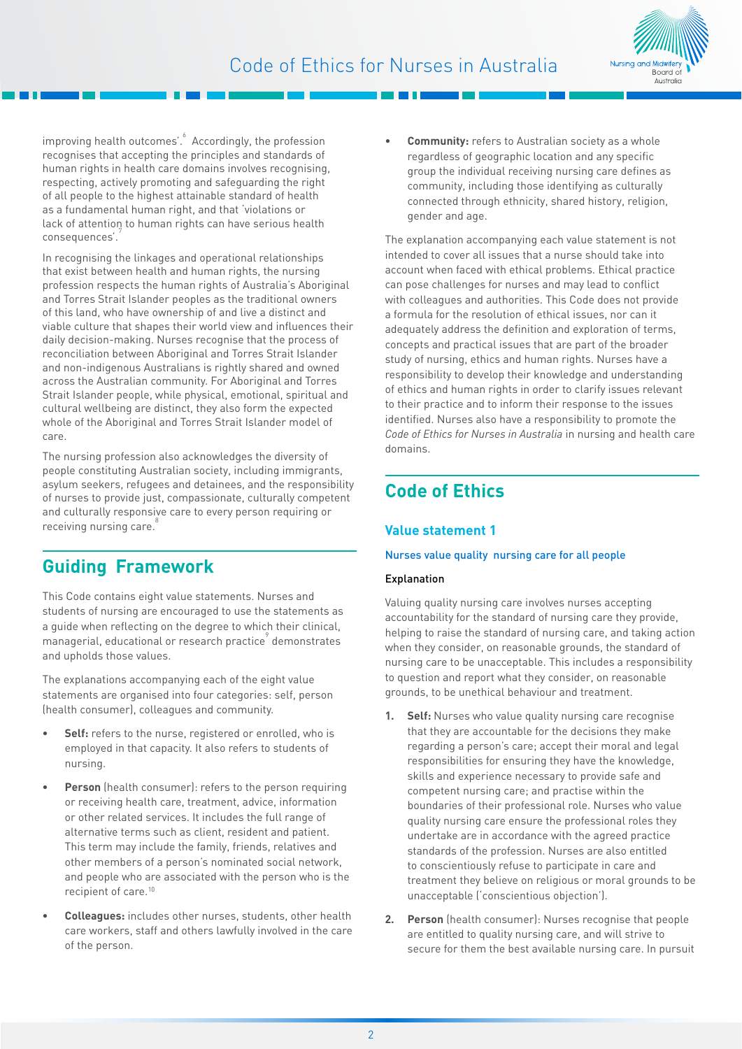

improving health outcomes'.<sup>6</sup> Accordingly, the profession recognises that accepting the principles and standards of human rights in health care domains involves recognising, respecting, actively promoting and safeguarding the right of all people to the highest attainable standard of health as a fundamental human right, and that 'violations or lack of attention to human rights can have serious health consequences'.

In recognising the linkages and operational relationships that exist between health and human rights, the nursing profession respects the human rights of Australia's Aboriginal and Torres Strait Islander peoples as the traditional owners of this land, who have ownership of and live a distinct and viable culture that shapes their world view and influences their daily decision-making. Nurses recognise that the process of reconciliation between Aboriginal and Torres Strait Islander and non-indigenous Australians is rightly shared and owned across the Australian community. For Aboriginal and Torres Strait Islander people, while physical, emotional, spiritual and cultural wellbeing are distinct, they also form the expected whole of the Aboriginal and Torres Strait Islander model of care.

The nursing profession also acknowledges the diversity of people constituting Australian society, including immigrants, asylum seekers, refugees and detainees, and the responsibility of nurses to provide just, compassionate, culturally competent and culturally responsive care to every person requiring or receiving nursing care.

### **Guiding Framework**

This Code contains eight value statements. Nurses and students of nursing are encouraged to use the statements as a guide when reflecting on the degree to which their clinical, managerial, educational or research practice<sup>9</sup> demonstrates and upholds those values.

The explanations accompanying each of the eight value statements are organised into four categories: self, person (health consumer), colleagues and community.

- **• Self:** refers to the nurse, registered or enrolled, who is employed in that capacity. It also refers to students of nursing.
- **• Person** (health consumer): refers to the person requiring or receiving health care, treatment, advice, information or other related services. It includes the full range of alternative terms such as client, resident and patient. This term may include the family, friends, relatives and other members of a person's nominated social network, and people who are associated with the person who is the recipient of care.<sup>10</sup>
- **• Colleagues:** includes other nurses, students, other health care workers, staff and others lawfully involved in the care of the person.

**• Community:** refers to Australian society as a whole regardless of geographic location and any specific group the individual receiving nursing care defines as community, including those identifying as culturally connected through ethnicity, shared history, religion, gender and age.

The explanation accompanying each value statement is not intended to cover all issues that a nurse should take into account when faced with ethical problems. Ethical practice can pose challenges for nurses and may lead to conflict with colleagues and authorities. This Code does not provide a formula for the resolution of ethical issues, nor can it adequately address the definition and exploration of terms, concepts and practical issues that are part of the broader study of nursing, ethics and human rights. Nurses have a responsibility to develop their knowledge and understanding of ethics and human rights in order to clarify issues relevant to their practice and to inform their response to the issues identified. Nurses also have a responsibility to promote the *Code of Ethics for Nurses in Australia* in nursing and health care domains.

# **Code of Ethics**

#### **Value statement 1**

#### Nurses value quality nursing care for all people

#### Explanation

Valuing quality nursing care involves nurses accepting accountability for the standard of nursing care they provide, helping to raise the standard of nursing care, and taking action when they consider, on reasonable grounds, the standard of nursing care to be unacceptable. This includes a responsibility to question and report what they consider, on reasonable grounds, to be unethical behaviour and treatment.

- **1. Self:** Nurses who value quality nursing care recognise that they are accountable for the decisions they make regarding a person's care; accept their moral and legal responsibilities for ensuring they have the knowledge, skills and experience necessary to provide safe and competent nursing care; and practise within the boundaries of their professional role. Nurses who value quality nursing care ensure the professional roles they undertake are in accordance with the agreed practice standards of the profession. Nurses are also entitled to conscientiously refuse to participate in care and treatment they believe on religious or moral grounds to be unacceptable ('conscientious objection').
- **2. Person** (health consumer): Nurses recognise that people are entitled to quality nursing care, and will strive to secure for them the best available nursing care. In pursuit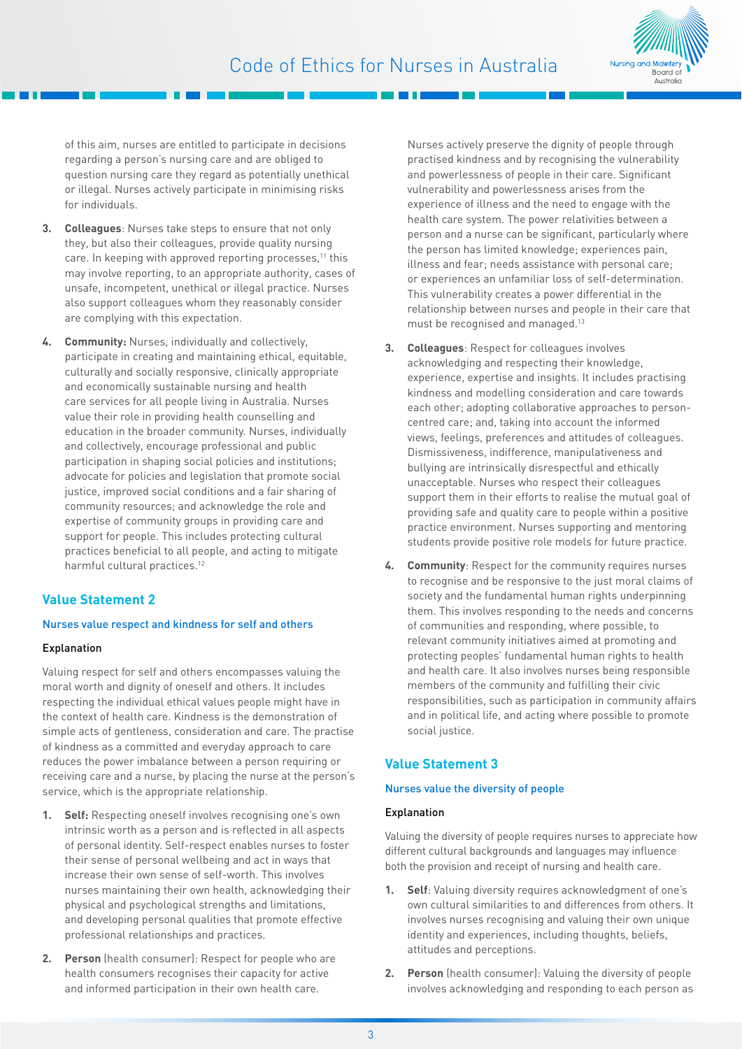

of this aim, nurses are entitled to participate in decisions regarding a person's nursing care and are obliged to question nursing care they regard as potentially unethical or illegal. Nurses actively participate in minimising risks for individuals.

- **3. Colleagues**: Nurses take steps to ensure that not only they, but also their colleagues, provide quality nursing care. In keeping with approved reporting processes,<sup>11</sup> this may involve reporting, to an appropriate authority, cases of unsafe, incompetent, unethical or illegal practice. Nurses also support colleagues whom they reasonably consider are complying with this expectation.
- **4. Community:** Nurses, individually and collectively, participate in creating and maintaining ethical, equitable, culturally and socially responsive, clinically appropriate and economically sustainable nursing and health care services for all people living in Australia. Nurses value their role in providing health counselling and education in the broader community. Nurses, individually and collectively, encourage professional and public participation in shaping social policies and institutions; advocate for policies and legislation that promote social justice, improved social conditions and a fair sharing of community resources; and acknowledge the role and expertise of community groups in providing care and support for people. This includes protecting cultural practices beneficial to all people, and acting to mitigate harmful cultural practices.<sup>12</sup>

#### **Value Statement 2**

#### Nurses value respect and kindness for self and others

#### Explanation

Valuing respect for self and others encompasses valuing the moral worth and dignity of oneself and others. It includes respecting the individual ethical values people might have in the context of health care. Kindness is the demonstration of simple acts of gentleness, consideration and care. The practise of kindness as a committed and everyday approach to care reduces the power imbalance between a person requiring or receiving care and a nurse, by placing the nurse at the person's service, which is the appropriate relationship.

- **1. Self:** Respecting oneself involves recognising one's own intrinsic worth as a person and is reflected in all aspects of personal identity. Self-respect enables nurses to foster their sense of personal wellbeing and act in ways that increase their own sense of self-worth. This involves nurses maintaining their own health, acknowledging their physical and psychological strengths and limitations, and developing personal qualities that promote effective professional relationships and practices.
- **2. Person** (health consumer): Respect for people who are health consumers recognises their capacity for active and informed participation in their own health care.

Nurses actively preserve the dignity of people through practised kindness and by recognising the vulnerability and powerlessness of people in their care. Significant vulnerability and powerlessness arises from the experience of illness and the need to engage with the health care system. The power relativities between a person and a nurse can be significant, particularly where the person has limited knowledge; experiences pain, illness and fear; needs assistance with personal care; or experiences an unfamiliar loss of self-determination. This vulnerability creates a power differential in the relationship between nurses and people in their care that must be recognised and managed.13

- **3. Colleagues**: Respect for colleagues involves acknowledging and respecting their knowledge, experience, expertise and insights. It includes practising kindness and modelling consideration and care towards each other; adopting collaborative approaches to personcentred care; and, taking into account the informed views, feelings, preferences and attitudes of colleagues. Dismissiveness, indifference, manipulativeness and bullying are intrinsically disrespectful and ethically unacceptable. Nurses who respect their colleagues support them in their efforts to realise the mutual goal of providing safe and quality care to people within a positive practice environment. Nurses supporting and mentoring students provide positive role models for future practice.
- **4. Community**: Respect for the community requires nurses to recognise and be responsive to the just moral claims of society and the fundamental human rights underpinning them. This involves responding to the needs and concerns of communities and responding, where possible, to relevant community initiatives aimed at promoting and protecting peoples' fundamental human rights to health and health care. It also involves nurses being responsible members of the community and fulfilling their civic responsibilities, such as participation in community affairs and in political life, and acting where possible to promote social justice.

#### **Value Statement 3**

#### Nurses value the diversity of people

#### Explanation

Valuing the diversity of people requires nurses to appreciate how different cultural backgrounds and languages may influence both the provision and receipt of nursing and health care.

- **1. Self**: Valuing diversity requires acknowledgment of one's own cultural similarities to and differences from others. It involves nurses recognising and valuing their own unique identity and experiences, including thoughts, beliefs, attitudes and perceptions.
- **2. Person** (health consumer): Valuing the diversity of people involves acknowledging and responding to each person as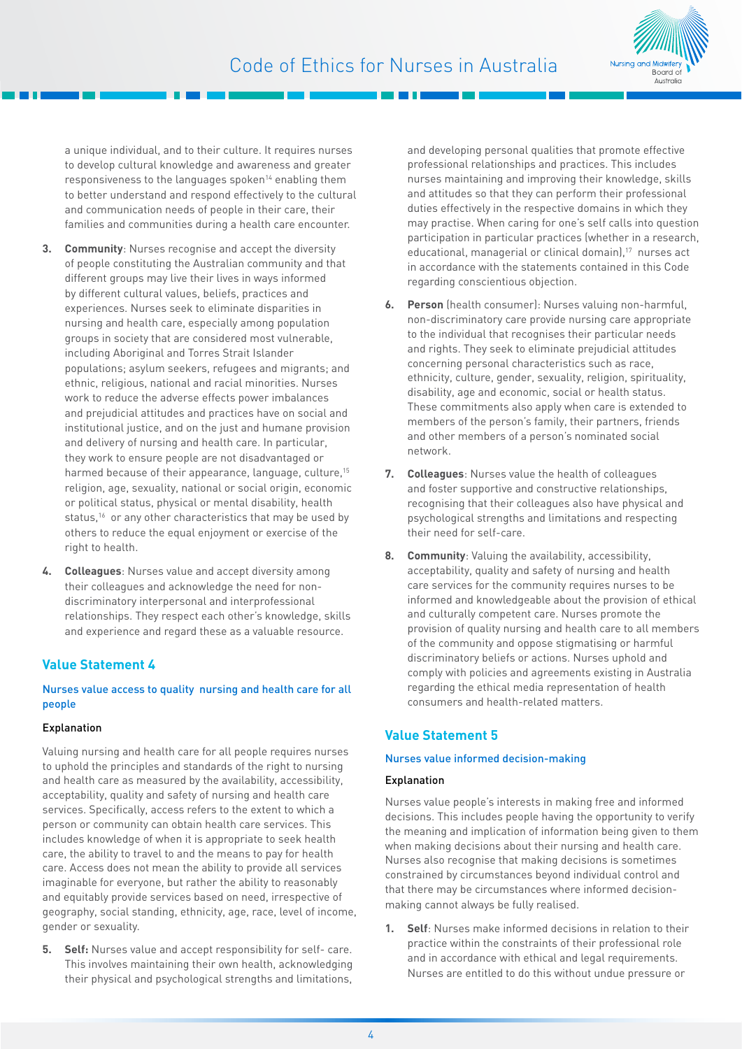

a unique individual, and to their culture. It requires nurses to develop cultural knowledge and awareness and greater responsiveness to the languages spoken<sup>14</sup> enabling them to better understand and respond effectively to the cultural and communication needs of people in their care, their families and communities during a health care encounter.

- **3. Community**: Nurses recognise and accept the diversity of people constituting the Australian community and that different groups may live their lives in ways informed by different cultural values, beliefs, practices and experiences. Nurses seek to eliminate disparities in nursing and health care, especially among population groups in society that are considered most vulnerable, including Aboriginal and Torres Strait Islander populations; asylum seekers, refugees and migrants; and ethnic, religious, national and racial minorities. Nurses work to reduce the adverse effects power imbalances and prejudicial attitudes and practices have on social and institutional justice, and on the just and humane provision and delivery of nursing and health care. In particular, they work to ensure people are not disadvantaged or harmed because of their appearance, language, culture.<sup>15</sup> religion, age, sexuality, national or social origin, economic or political status, physical or mental disability, health status.<sup>16</sup> or any other characteristics that may be used by others to reduce the equal enjoyment or exercise of the right to health.
- **4. Colleagues**: Nurses value and accept diversity among their colleagues and acknowledge the need for nondiscriminatory interpersonal and interprofessional relationships. They respect each other's knowledge, skills and experience and regard these as a valuable resource.

#### **Value Statement 4**

#### Nurses value access to quality nursing and health care for all people

#### Explanation

Valuing nursing and health care for all people requires nurses to uphold the principles and standards of the right to nursing and health care as measured by the availability, accessibility, acceptability, quality and safety of nursing and health care services. Specifically, access refers to the extent to which a person or community can obtain health care services. This includes knowledge of when it is appropriate to seek health care, the ability to travel to and the means to pay for health care. Access does not mean the ability to provide all services imaginable for everyone, but rather the ability to reasonably and equitably provide services based on need, irrespective of geography, social standing, ethnicity, age, race, level of income, gender or sexuality.

**5. Self:** Nurses value and accept responsibility for self- care. This involves maintaining their own health, acknowledging their physical and psychological strengths and limitations,

and developing personal qualities that promote effective professional relationships and practices. This includes nurses maintaining and improving their knowledge, skills and attitudes so that they can perform their professional duties effectively in the respective domains in which they may practise. When caring for one's self calls into question participation in particular practices (whether in a research, educational, managerial or clinical domain),<sup>17</sup> nurses act in accordance with the statements contained in this Code regarding conscientious objection.

- **6. Person** (health consumer): Nurses valuing non-harmful, non-discriminatory care provide nursing care appropriate to the individual that recognises their particular needs and rights. They seek to eliminate prejudicial attitudes concerning personal characteristics such as race, ethnicity, culture, gender, sexuality, religion, spirituality, disability, age and economic, social or health status. These commitments also apply when care is extended to members of the person's family, their partners, friends and other members of a person's nominated social network.
- **7. Colleagues**: Nurses value the health of colleagues and foster supportive and constructive relationships, recognising that their colleagues also have physical and psychological strengths and limitations and respecting their need for self-care.
- **8. Community**: Valuing the availability, accessibility, acceptability, quality and safety of nursing and health care services for the community requires nurses to be informed and knowledgeable about the provision of ethical and culturally competent care. Nurses promote the provision of quality nursing and health care to all members of the community and oppose stigmatising or harmful discriminatory beliefs or actions. Nurses uphold and comply with policies and agreements existing in Australia regarding the ethical media representation of health consumers and health-related matters.

#### **Value Statement 5**

#### Nurses value informed decision-making

#### Explanation

Nurses value people's interests in making free and informed decisions. This includes people having the opportunity to verify the meaning and implication of information being given to them when making decisions about their nursing and health care. Nurses also recognise that making decisions is sometimes constrained by circumstances beyond individual control and that there may be circumstances where informed decisionmaking cannot always be fully realised.

**1. Self**: Nurses make informed decisions in relation to their practice within the constraints of their professional role and in accordance with ethical and legal requirements. Nurses are entitled to do this without undue pressure or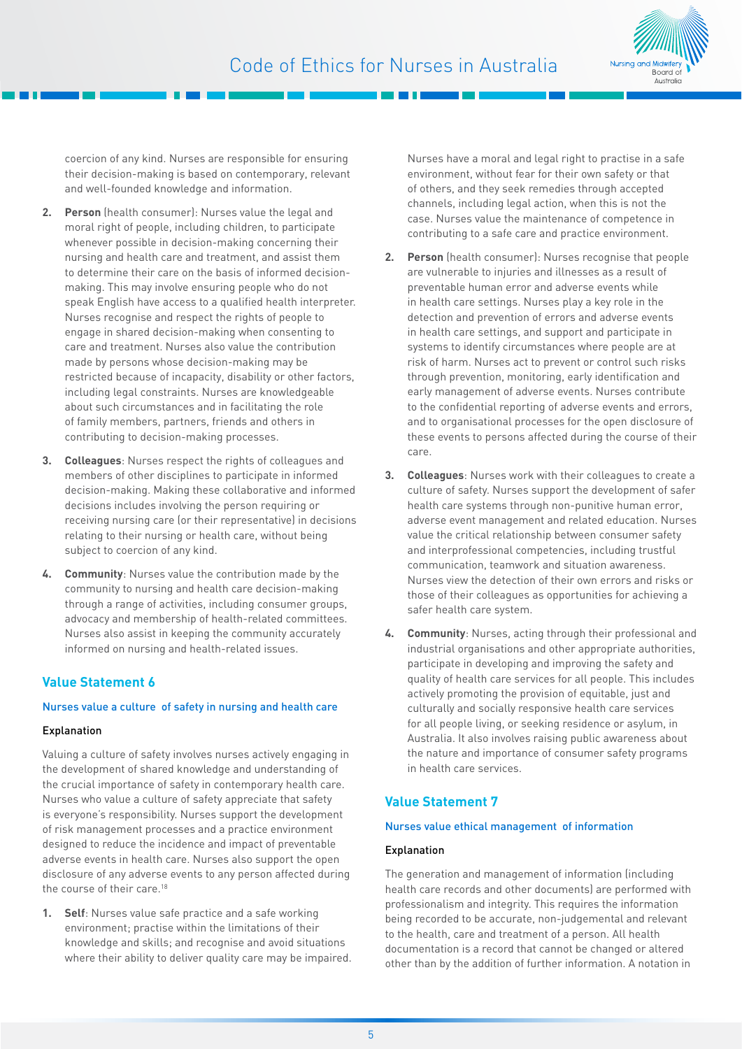

coercion of any kind. Nurses are responsible for ensuring their decision-making is based on contemporary, relevant and well-founded knowledge and information.

- **2. Person** (health consumer): Nurses value the legal and moral right of people, including children, to participate whenever possible in decision-making concerning their nursing and health care and treatment, and assist them to determine their care on the basis of informed decisionmaking. This may involve ensuring people who do not speak English have access to a qualified health interpreter. Nurses recognise and respect the rights of people to engage in shared decision-making when consenting to care and treatment. Nurses also value the contribution made by persons whose decision-making may be restricted because of incapacity, disability or other factors, including legal constraints. Nurses are knowledgeable about such circumstances and in facilitating the role of family members, partners, friends and others in contributing to decision-making processes.
- **3. Colleagues**: Nurses respect the rights of colleagues and members of other disciplines to participate in informed decision-making. Making these collaborative and informed decisions includes involving the person requiring or receiving nursing care (or their representative) in decisions relating to their nursing or health care, without being subject to coercion of any kind.
- **4. Community**: Nurses value the contribution made by the community to nursing and health care decision-making through a range of activities, including consumer groups, advocacy and membership of health-related committees. Nurses also assist in keeping the community accurately informed on nursing and health-related issues.

#### **Value Statement 6**

#### Nurses value a culture of safety in nursing and health care

#### Explanation

Valuing a culture of safety involves nurses actively engaging in the development of shared knowledge and understanding of the crucial importance of safety in contemporary health care. Nurses who value a culture of safety appreciate that safety is everyone's responsibility. Nurses support the development of risk management processes and a practice environment designed to reduce the incidence and impact of preventable adverse events in health care. Nurses also support the open disclosure of any adverse events to any person affected during the course of their care.<sup>18</sup>

**1. Self**: Nurses value safe practice and a safe working environment; practise within the limitations of their knowledge and skills; and recognise and avoid situations where their ability to deliver quality care may be impaired. Nurses have a moral and legal right to practise in a safe environment, without fear for their own safety or that of others, and they seek remedies through accepted channels, including legal action, when this is not the case. Nurses value the maintenance of competence in contributing to a safe care and practice environment.

- **2. Person** (health consumer): Nurses recognise that people are vulnerable to injuries and illnesses as a result of preventable human error and adverse events while in health care settings. Nurses play a key role in the detection and prevention of errors and adverse events in health care settings, and support and participate in systems to identify circumstances where people are at risk of harm. Nurses act to prevent or control such risks through prevention, monitoring, early identification and early management of adverse events. Nurses contribute to the confidential reporting of adverse events and errors, and to organisational processes for the open disclosure of these events to persons affected during the course of their care.
- **3. Colleagues**: Nurses work with their colleagues to create a culture of safety. Nurses support the development of safer health care systems through non-punitive human error, adverse event management and related education. Nurses value the critical relationship between consumer safety and interprofessional competencies, including trustful communication, teamwork and situation awareness. Nurses view the detection of their own errors and risks or those of their colleagues as opportunities for achieving a safer health care system.
- **4. Community**: Nurses, acting through their professional and industrial organisations and other appropriate authorities, participate in developing and improving the safety and quality of health care services for all people. This includes actively promoting the provision of equitable, just and culturally and socially responsive health care services for all people living, or seeking residence or asylum, in Australia. It also involves raising public awareness about the nature and importance of consumer safety programs in health care services.

#### **Value Statement 7**

#### Nurses value ethical management of information

#### Explanation

The generation and management of information (including health care records and other documents) are performed with professionalism and integrity. This requires the information being recorded to be accurate, non-judgemental and relevant to the health, care and treatment of a person. All health documentation is a record that cannot be changed or altered other than by the addition of further information. A notation in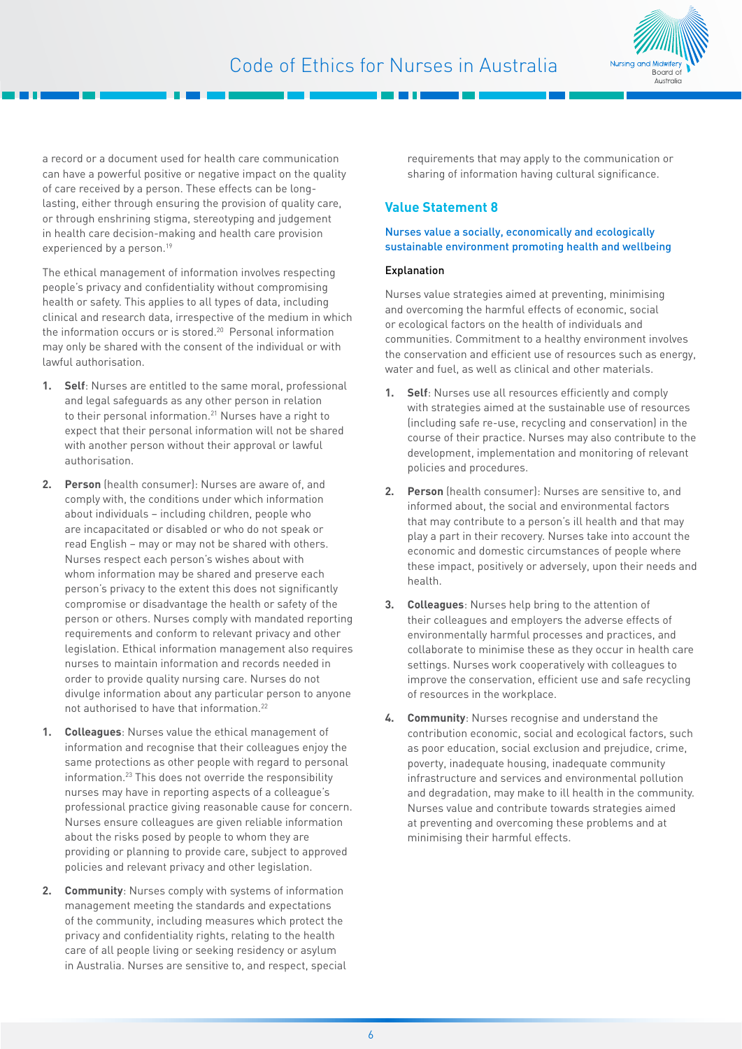



a record or a document used for health care communication can have a powerful positive or negative impact on the quality of care received by a person. These effects can be longlasting, either through ensuring the provision of quality care, or through enshrining stigma, stereotyping and judgement in health care decision-making and health care provision experienced by a person.<sup>19</sup>

The ethical management of information involves respecting people's privacy and confidentiality without compromising health or safety. This applies to all types of data, including clinical and research data, irrespective of the medium in which the information occurs or is stored.<sup>20</sup> Personal information may only be shared with the consent of the individual or with lawful authorisation.

- **1. Self**: Nurses are entitled to the same moral, professional and legal safeguards as any other person in relation to their personal information.21 Nurses have a right to expect that their personal information will not be shared with another person without their approval or lawful authorisation.
- **2. Person** (health consumer): Nurses are aware of, and comply with, the conditions under which information about individuals – including children, people who are incapacitated or disabled or who do not speak or read English – may or may not be shared with others. Nurses respect each person's wishes about with whom information may be shared and preserve each person's privacy to the extent this does not significantly compromise or disadvantage the health or safety of the person or others. Nurses comply with mandated reporting requirements and conform to relevant privacy and other legislation. Ethical information management also requires nurses to maintain information and records needed in order to provide quality nursing care. Nurses do not divulge information about any particular person to anyone not authorised to have that information.22
- **1. Colleagues**: Nurses value the ethical management of information and recognise that their colleagues enjoy the same protections as other people with regard to personal information.23 This does not override the responsibility nurses may have in reporting aspects of a colleague's professional practice giving reasonable cause for concern. Nurses ensure colleagues are given reliable information about the risks posed by people to whom they are providing or planning to provide care, subject to approved policies and relevant privacy and other legislation.
- **2. Community**: Nurses comply with systems of information management meeting the standards and expectations of the community, including measures which protect the privacy and confidentiality rights, relating to the health care of all people living or seeking residency or asylum in Australia. Nurses are sensitive to, and respect, special

requirements that may apply to the communication or sharing of information having cultural significance.

#### **Value Statement 8**

#### Nurses value a socially, economically and ecologically sustainable environment promoting health and wellbeing

#### Explanation

Nurses value strategies aimed at preventing, minimising and overcoming the harmful effects of economic, social or ecological factors on the health of individuals and communities. Commitment to a healthy environment involves the conservation and efficient use of resources such as energy, water and fuel, as well as clinical and other materials.

- **1. Self**: Nurses use all resources efficiently and comply with strategies aimed at the sustainable use of resources (including safe re-use, recycling and conservation) in the course of their practice. Nurses may also contribute to the development, implementation and monitoring of relevant policies and procedures.
- **2. Person** (health consumer): Nurses are sensitive to, and informed about, the social and environmental factors that may contribute to a person's ill health and that may play a part in their recovery. Nurses take into account the economic and domestic circumstances of people where these impact, positively or adversely, upon their needs and health.
- **3. Colleagues**: Nurses help bring to the attention of their colleagues and employers the adverse effects of environmentally harmful processes and practices, and collaborate to minimise these as they occur in health care settings. Nurses work cooperatively with colleagues to improve the conservation, efficient use and safe recycling of resources in the workplace.
- **4. Community**: Nurses recognise and understand the contribution economic, social and ecological factors, such as poor education, social exclusion and prejudice, crime, poverty, inadequate housing, inadequate community infrastructure and services and environmental pollution and degradation, may make to ill health in the community. Nurses value and contribute towards strategies aimed at preventing and overcoming these problems and at minimising their harmful effects.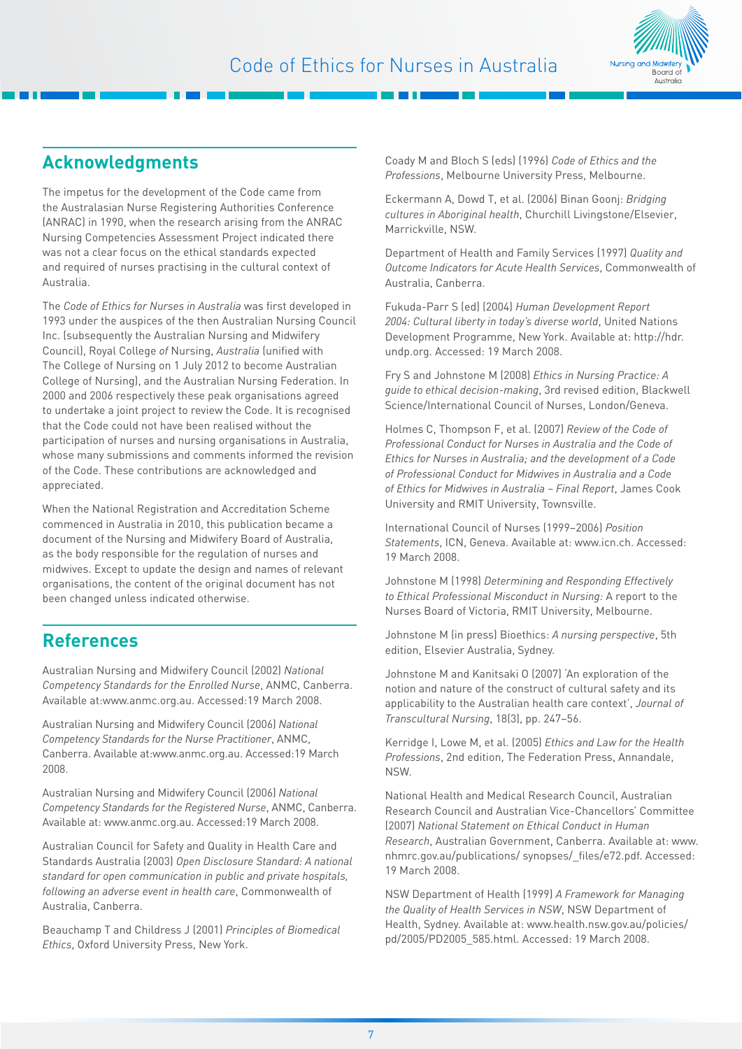

# **Acknowledgments**

The impetus for the development of the Code came from the Australasian Nurse Registering Authorities Conference (ANRAC) in 1990, when the research arising from the ANRAC Nursing Competencies Assessment Project indicated there was not a clear focus on the ethical standards expected and required of nurses practising in the cultural context of Australia.

The *Code of Ethics for Nurses in Australia* was first developed in 1993 under the auspices of the then Australian Nursing Council Inc. (subsequently the Australian Nursing and Midwifery Council), Royal College *of* Nursing, *Australia* (unified with The College of Nursing on 1 July 2012 to become Australian College of Nursing), and the Australian Nursing Federation. In 2000 and 2006 respectively these peak organisations agreed to undertake a joint project to review the Code. It is recognised that the Code could not have been realised without the participation of nurses and nursing organisations in Australia, whose many submissions and comments informed the revision of the Code. These contributions are acknowledged and appreciated.

When the National Registration and Accreditation Scheme commenced in Australia in 2010, this publication became a document of the Nursing and Midwifery Board of Australia, as the body responsible for the regulation of nurses and midwives. Except to update the design and names of relevant organisations, the content of the original document has not been changed unless indicated otherwise.

### **References**

Australian Nursing and Midwifery Council (2002) *National Competency Standards for the Enrolled Nurse*, ANMC, Canberra. Available at[:www.anmc.org.au. A](http://www.anmc.org.au/ )ccessed:19 March 2008.

Australian Nursing and Midwifery Council (2006) *National Competency Standards for the Nurse Practitioner*, ANMC, Canberra. Available at[:www.anmc.org.au.](http://www.anmc.org.au/ ) Accessed:19 March 2008.

Australian Nursing and Midwifery Council (2006) *National Competency Standards for the Registered Nurse*, ANMC, Canberra. Available at: [www.anmc.org.au. A](http://www.anmc.org.au/ )ccessed:19 March 2008.

Australian Council for Safety and Quality in Health Care and Standards Australia (2003) *Open Disclosure Standard: A national standard for open communication in public and private hospitals, following an adverse event in health care*, Commonwealth of Australia, Canberra.

Beauchamp T and Childress J (2001) *Principles of Biomedical Ethics*, Oxford University Press, New York.

Coady M and Bloch S (eds) (1996) *Code of Ethics and the Professions*, Melbourne University Press, Melbourne.

Eckermann A, Dowd T, et al. (2006) Binan Goonj: *Bridging cultures in Aboriginal health*, Churchill Livingstone/Elsevier, Marrickville, NSW.

Department of Health and Family Services (1997) *Quality and Outcome Indicators for Acute Health Services*, Commonwealth of Australia, Canberra.

Fukuda-Parr S (ed) (2004) *Human Development Report 2004: Cultural liberty in today's diverse world*, United Nations Development Programme, New York. Available at: [http://hdr.](http://hdr.undp.org) [undp.org](http://hdr.undp.org). Accessed: 19 March 2008.

Fry S and Johnstone M (2008) *Ethics in Nursing Practice: A guide to ethical decision-making*, 3rd revised edition, Blackwell Science/International Council of Nurses, London/Geneva.

Holmes C, Thompson F, et al. (2007) *Review of the Code of Professional Conduct for Nurses in Australia and the Code of Ethics for Nurses in Australia; and the development of a Code of Professional Conduct for Midwives in Australia and a Code of Ethics for Midwives in Australia – Final Report*, James Cook University and RMIT University, Townsville.

International Council of Nurses (1999–2006) *Position Statements*, ICN, Geneva. Available at: [www.icn.ch.](http://www.icn.ch/ ) Accessed: 19 March 2008.

Johnstone M (1998) *Determining and Responding Effectively to Ethical Professional Misconduct in Nursing:* A report to the Nurses Board of Victoria, RMIT University, Melbourne.

Johnstone M (in press) Bioethics: *A nursing perspective*, 5th edition, Elsevier Australia, Sydney.

Johnstone M and Kanitsaki O (2007) 'An exploration of the notion and nature of the construct of cultural safety and its applicability to the Australian health care context', *Journal of Transcultural Nursing*, 18(3), pp. 247–56.

Kerridge I, Lowe M, et al. (2005) *Ethics and Law for the Health Professions*, 2nd edition, The Federation Press, Annandale, NSW.

National Health and Medical Research Council, Australian Research Council and Australian Vice-Chancellors' Committee (2007) *National Statement on Ethical Conduct in Human Research*, Australian Government, Canberra. Available at: [www.](http://www.nhmrc.gov.au/publications/ ) [nhmrc.gov.au/publications/ s](http://www.nhmrc.gov.au/publications/ )ynopses/\_files[/e72.pdf](e72.pdf). Accessed: 19 March 2008.

NSW Department of Health (1999) *A Framework for Managing the Quality of Health Services in NSW*, NSW Department of Health, Sydney. Available at: [www.health.nsw.gov.au/policies/](www.health.nsw.gov.au/policies/pd/2005/PD2005_585.html) [pd/2005/PD2005\\_585.html](www.health.nsw.gov.au/policies/pd/2005/PD2005_585.html). Accessed: 19 March 2008.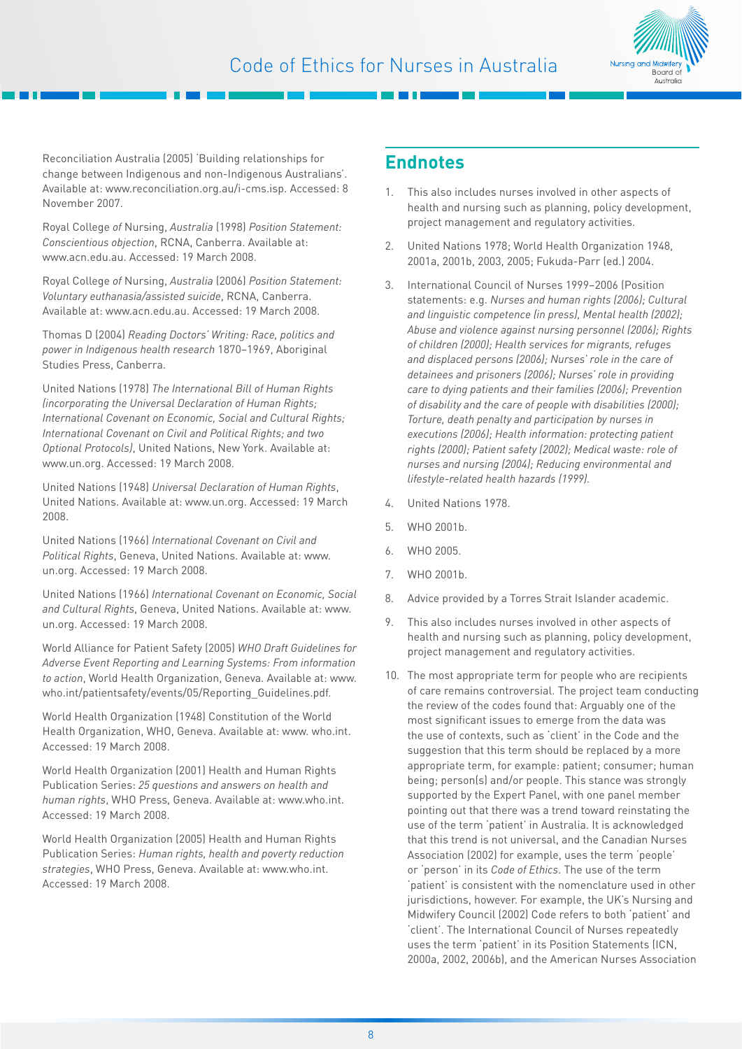

Reconciliation Australia (2005) 'Building relationships for change between Indigenous and non-Indigenous Australians'. Available at: [www.reconciliation.org.au/i-cms.](http://www.reconciliation.org.au/i-cms )isp. Accessed: 8 November 2007.

Royal College *of* Nursing, *Australia* (1998) *Position Statement: Conscientious objection*, RCNA, Canberra. Available at: www.acn.edu.au. Accessed: 19 March 2008.

Royal College *of* Nursing, *Australia* (2006) *Position Statement: Voluntary euthanasia/assisted suicide*, RCNA, Canberra. Available at: <www.acn.edu.au>[.](http://www.rcna.org.au/ ) Accessed: 19 March 2008.

Thomas D (2004) *Reading Doctors' Writing: Race, politics and power in Indigenous health research* 1870–1969, Aboriginal Studies Press, Canberra.

United Nations (1978) *The International Bill of Human Rights (incorporating the Universal Declaration of Human Rights; International Covenant on Economic, Social and Cultural Rights; International Covenant on Civil and Political Rights; and two Optional Protocols)*, United Nations, New York. [Available at:](http://www.un.org/ )  [www.un.org.](http://www.un.org/ ) Accessed: 19 March 2008.

United Nations (1948) *Universal Declaration of Human Rights*, United Nations. Available at: [www.un.org.](http://www.un.org/ ) Accessed: 19 March 2008.

United Nations (1966) *International Covenant on Civil and Political Rights*, Geneva, United Nations. Available at: [www.](http://www/ )  [un.org.](un.org) Accessed: 19 March 2008.

United Nations (1966) *International Covenant on Economic, Social and Cultural Rights*, Geneva, United Nations. [Available at: www.](http://www.un.org/ ) [un.org.](http://www.un.org/ ) Accessed: 19 March 2008.

World Alliance for Patient Safety (2005) *WHO Draft Guidelines for Adverse Event Reporting and Learning Systems: From information to action*, World Health Organization, Geneva. Available at: [www.](http://www.who.int/ ) [who.int/](http://www.who.int/ )patientsafety/events/05/Reporting\_Guidelines.pdf.

World Health Organization (1948) Constitution of the World Health Organization, WHO, Geneva. Available at: www.<who.int>. Accessed: 19 March 2008.

World Health Organization (2001) Health and Human Rights Publication Series: *25 questions and answers on health and human rights*, WHO Press, Geneva. Availabl[e at: www.who.int.](http://www.who.int/ )  Accessed: 19 March 2008.

World Health Organization (2005) Health and Human Rights Publication Series: *Human rights, health and poverty reduction strategies*, WHO Press, Geneva. Available at[: www.who.int.](http://www.who.int/ )  Accessed: 19 March 2008.

### **Endnotes**

- 1. This also includes nurses involved in other aspects of health and nursing such as planning, policy development, project management and regulatory activities.
- 2. United Nations 1978; World Health Organization 1948, 2001a, 2001b, 2003, 2005; Fukuda-Parr (ed.) 2004.
- 3. International Council of Nurses 1999–2006 (Position statements: e.g. *Nurses and human rights (2006); Cultural and linguistic competence (in press), Mental health (2002); Abuse and violence against nursing personnel (2006); Rights of children (2000); Health services for migrants, refuges and displaced persons (2006); Nurses' role in the care of detainees and prisoners (2006); Nurses' role in providing care to dying patients and their families (2006); Prevention of disability and the care of people with disabilities (2000); Torture, death penalty and participation by nurses in executions (2006); Health information: protecting patient rights (2000); Patient safety (2002); Medical waste: role of nurses and nursing (2004); Reducing environmental and lifestyle-related health hazards (1999).*
- 4. United Nations 1978.
- 5. WHO 2001b.
- 6. WHO 2005.
- 7. WHO 2001b.
- 8. Advice provided by a Torres Strait Islander academic.
- 9. This also includes nurses involved in other aspects of health and nursing such as planning, policy development, project management and regulatory activities.
- 10. The most appropriate term for people who are recipients of care remains controversial. The project team conducting the review of the codes found that: Arguably one of the most significant issues to emerge from the data was the use of contexts, such as 'client' in the Code and the suggestion that this term should be replaced by a more appropriate term, for example: patient; consumer; human being; person(s) and/or people. This stance was strongly supported by the Expert Panel, with one panel member pointing out that there was a trend toward reinstating the use of the term 'patient' in Australia. It is acknowledged that this trend is not universal, and the Canadian Nurses Association (2002) for example, uses the term 'people' or 'person' in its *Code of Ethics*. The use of the term 'patient' is consistent with the nomenclature used in other jurisdictions, however. For example, the UK's Nursing and Midwifery Council (2002) Code refers to both 'patient' and 'client'. The International Council of Nurses repeatedly uses the term 'patient' in its Position Statements (ICN, 2000a, 2002, 2006b), and the American Nurses Association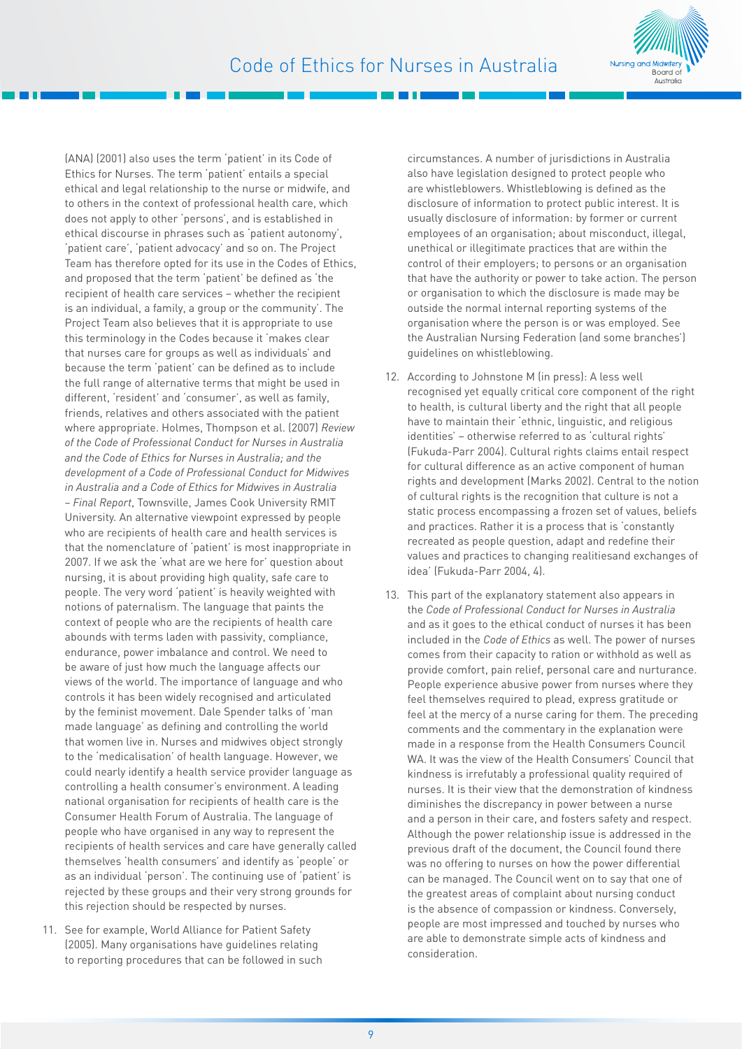

(ANA) (2001) also uses the term 'patient' in its Code of Ethics for Nurses. The term 'patient' entails a special ethical and legal relationship to the nurse or midwife, and to others in the context of professional health care, which does not apply to other 'persons', and is established in ethical discourse in phrases such as 'patient autonomy', 'patient care', 'patient advocacy' and so on. The Project Team has therefore opted for its use in the Codes of Ethics, and proposed that the term 'patient' be defined as 'the recipient of health care services – whether the recipient is an individual, a family, a group or the community'. The Project Team also believes that it is appropriate to use this terminology in the Codes because it 'makes clear that nurses care for groups as well as individuals' and because the term 'patient' can be defined as to include the full range of alternative terms that might be used in different, 'resident' and 'consumer', as well as family, friends, relatives and others associated with the patient where appropriate. Holmes, Thompson et al. (2007) *Review of the Code of Professional Conduct for Nurses in Australia and the Code of Ethics for Nurses in Australia; and the development of a Code of Professional Conduct for Midwives in Australia and a Code of Ethics for Midwives in Australia – Final Report*, Townsville, James Cook University RMIT University. An alternative viewpoint expressed by people who are recipients of health care and health services is that the nomenclature of 'patient' is most inappropriate in 2007. If we ask the 'what are we here for' question about nursing, it is about providing high quality, safe care to people. The very word 'patient' is heavily weighted with notions of paternalism. The language that paints the context of people who are the recipients of health care abounds with terms laden with passivity, compliance, endurance, power imbalance and control. We need to be aware of just how much the language affects our views of the world. The importance of language and who controls it has been widely recognised and articulated by the feminist movement. Dale Spender talks of 'man made language' as defining and controlling the world that women live in. Nurses and midwives object strongly to the 'medicalisation' of health language. However, we could nearly identify a health service provider language as controlling a health consumer's environment. A leading national organisation for recipients of health care is the Consumer Health Forum of Australia. The language of people who have organised in any way to represent the recipients of health services and care have generally called themselves 'health consumers' and identify as 'people' or as an individual 'person'. The continuing use of 'patient' is rejected by these groups and their very strong grounds for this rejection should be respected by nurses.

11. See for example, World Alliance for Patient Safety (2005). Many organisations have guidelines relating to reporting procedures that can be followed in such circumstances. A number of jurisdictions in Australia also have legislation designed to protect people who are whistleblowers. Whistleblowing is defined as the disclosure of information to protect public interest. It is usually disclosure of information: by former or current employees of an organisation; about misconduct, illegal, unethical or illegitimate practices that are within the control of their employers; to persons or an organisation that have the authority or power to take action. The person or organisation to which the disclosure is made may be outside the normal internal reporting systems of the organisation where the person is or was employed. See the Australian Nursing Federation (and some branches') guidelines on whistleblowing.

- 12. According to Johnstone M (in press): A less well recognised yet equally critical core component of the right to health, is cultural liberty and the right that all people have to maintain their 'ethnic, linguistic, and religious identities' – otherwise referred to as 'cultural rights' (Fukuda-Parr 2004). Cultural rights claims entail respect for cultural difference as an active component of human rights and development (Marks 2002). Central to the notion of cultural rights is the recognition that culture is not a static process encompassing a frozen set of values, beliefs and practices. Rather it is a process that is 'constantly recreated as people question, adapt and redefine their values and practices to changing realitiesand exchanges of idea' (Fukuda-Parr 2004, 4).
- 13. This part of the explanatory statement also appears in the *Code of Professional Conduct for Nurses in Australia* and as it goes to the ethical conduct of nurses it has been included in the *Code of Ethics* as well. The power of nurses comes from their capacity to ration or withhold as well as provide comfort, pain relief, personal care and nurturance. People experience abusive power from nurses where they feel themselves required to plead, express gratitude or feel at the mercy of a nurse caring for them. The preceding comments and the commentary in the explanation were made in a response from the Health Consumers Council WA. It was the view of the Health Consumers' Council that kindness is irrefutably a professional quality required of nurses. It is their view that the demonstration of kindness diminishes the discrepancy in power between a nurse and a person in their care, and fosters safety and respect. Although the power relationship issue is addressed in the previous draft of the document, the Council found there was no offering to nurses on how the power differential can be managed. The Council went on to say that one of the greatest areas of complaint about nursing conduct is the absence of compassion or kindness. Conversely, people are most impressed and touched by nurses who are able to demonstrate simple acts of kindness and consideration.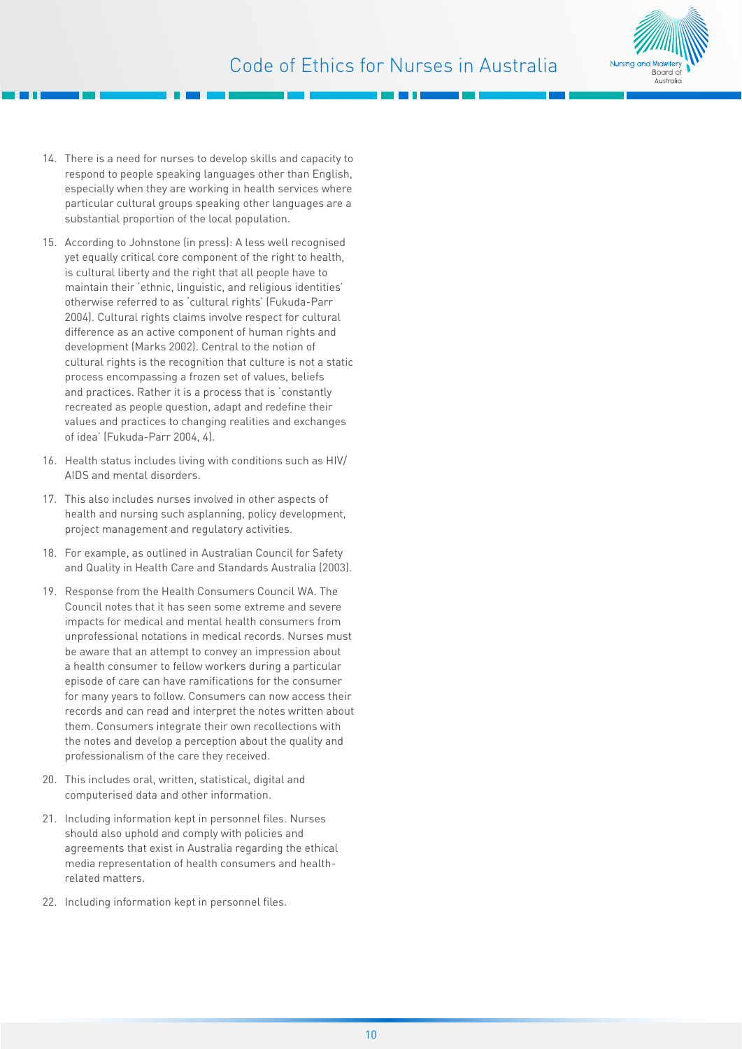

- 14. There is a need for nurses to develop skills and capacity to respond to people speaking languages other than English, especially when they are working in health services where particular cultural groups speaking other languages are a substantial proportion of the local population.
- 15. According to Johnstone (in press): A less well recognised yet equally critical core component of the right to health, is cultural liberty and the right that all people have to maintain their 'ethnic, linguistic, and religious identities' otherwise referred to as 'cultural rights' (Fukuda-Parr 2004). Cultural rights claims involve respect for cultural difference as an active component of human rights and development (Marks 2002). Central to the notion of cultural rights is the recognition that culture is not a static process encompassing a frozen set of values, beliefs and practices. Rather it is a process that is 'constantly recreated as people question, adapt and redefine their values and practices to changing realities and exchanges of idea' (Fukuda-Parr 2004, 4).
- 16. Health status includes living with conditions such as HIV/ AIDS and mental disorders.
- 17. This also includes nurses involved in other aspects of health and nursing such asplanning, policy development, project management and regulatory activities.
- 18. For example, as outlined in Australian Council for Safety and Quality in Health Care and Standards Australia (2003).
- 19. Response from the Health Consumers Council WA. The Council notes that it has seen some extreme and severe impacts for medical and mental health consumers from unprofessional notations in medical records. Nurses must be aware that an attempt to convey an impression about a health consumer to fellow workers during a particular episode of care can have ramifications for the consumer for many years to follow. Consumers can now access their records and can read and interpret the notes written about them. Consumers integrate their own recollections with the notes and develop a perception about the quality and professionalism of the care they received.
- 20. This includes oral, written, statistical, digital and computerised data and other information.
- 21. Including information kept in personnel files. Nurses should also uphold and comply with policies and agreements that exist in Australia regarding the ethical media representation of health consumers and healthrelated matters.
- 22. Including information kept in personnel files.